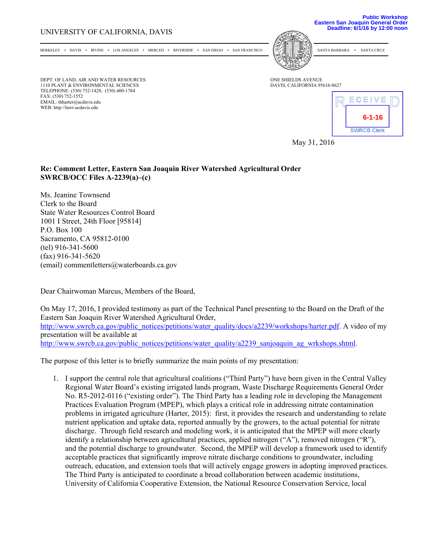## UNIVERSITY OF CALIFORNIA, DAVIS

**Public Workshop Eastern San Joaquin General Order Deadline: 6/1/16 by 12:00 noon**

BERKELEY \* DAVIS \* IRVINE \* LOS ANGELES \* MERCED \* RIVERSIDE \* SAN DIEGO \* SAN FRANCISCO [PM]

DEPT. OF LAND, AIR AND WATER RESOURCES ONE SHIELDS AVENUE 1110 PLANT & ENVIRONMENTAL SCIENCES DAVIS, CALIFORNIA 95616-8627 TELEPHONE: (530) 752-1428; (530) 400-1784 FAX: (530) 752-1552 EMAIL: thharter@ucdavis.edu WEB: http://lawr.ucdavis.edu



May 31, 2016

## **Re: Comment Letter, Eastern San Joaquin River Watershed Agricultural Order SWRCB/OCC Files A-2239(a)–(c)**

Ms. Jeanine Townsend Clerk to the Board State Water Resources Control Board 1001 I Street, 24th Floor [95814] P.O. Box 100 Sacramento, CA 95812-0100 (tel) 916-341-5600 (fax) 916-341-5620 (email) commentletters@waterboards.ca.gov

Dear Chairwoman Marcus, Members of the Board,

On May 17, 2016, I provided testimony as part of the Technical Panel presenting to the Board on the Draft of the Eastern San Joaquin River Watershed Agricultural Order, http://www.swrcb.ca.gov/public\_notices/petitions/water\_quality/docs/a2239/workshops/harter.pdf. A video of my presentation will be available at http://www.swrcb.ca.gov/public\_notices/petitions/water\_quality/a2239\_sanjoaquin\_ag\_wrkshops.shtml.

The purpose of this letter is to briefly summarize the main points of my presentation:

1. I support the central role that agricultural coalitions ("Third Party") have been given in the Central Valley Regional Water Board's existing irrigated lands program, Waste Discharge Requirements General Order No. R5-2012-0116 ("existing order"). The Third Party has a leading role in developing the Management Practices Evaluation Program (MPEP), which plays a critical role in addressing nitrate contamination problems in irrigated agriculture (Harter, 2015): first, it provides the research and understanding to relate nutrient application and uptake data, reported annually by the growers, to the actual potential for nitrate discharge. Through field research and modeling work, it is anticipated that the MPEP will more clearly identify a relationship between agricultural practices, applied nitrogen ("A"), removed nitrogen ("R"), and the potential discharge to groundwater. Second, the MPEP will develop a framework used to identify acceptable practices that significantly improve nitrate discharge conditions to groundwater, including outreach, education, and extension tools that will actively engage growers in adopting improved practices. The Third Party is anticipated to coordinate a broad collaboration between academic institutions, University of California Cooperative Extension, the National Resource Conservation Service, local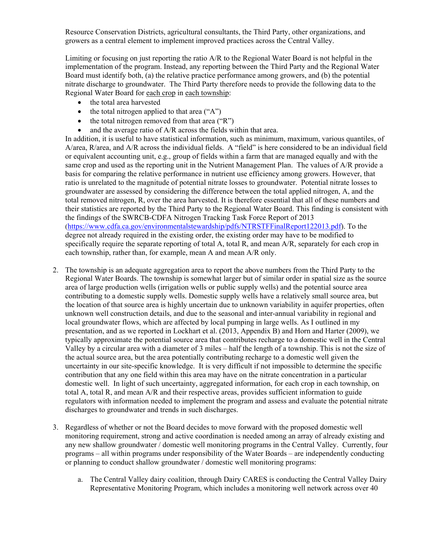Resource Conservation Districts, agricultural consultants, the Third Party, other organizations, and growers as a central element to implement improved practices across the Central Valley.

Limiting or focusing on just reporting the ratio A/R to the Regional Water Board is not helpful in the implementation of the program. Instead, any reporting between the Third Party and the Regional Water Board must identify both, (a) the relative practice performance among growers, and (b) the potential nitrate discharge to groundwater. The Third Party therefore needs to provide the following data to the Regional Water Board for each crop in each township:

- the total area harvested
- the total nitrogen applied to that area  $(^\circ A^\prime)$
- the total nitrogen removed from that area  $("R")$
- and the average ratio of A/R across the fields within that area.

In addition, it is useful to have statistical information, such as minimum, maximum, various quantiles, of A/area, R/area, and A/R across the individual fields. A "field" is here considered to be an individual field or equivalent accounting unit, e.g., group of fields within a farm that are managed equally and with the same crop and used as the reporting unit in the Nutrient Management Plan. The values of A/R provide a basis for comparing the relative performance in nutrient use efficiency among growers. However, that ratio is unrelated to the magnitude of potential nitrate losses to groundwater. Potential nitrate losses to groundwater are assessed by considering the difference between the total applied nitrogen, A, and the total removed nitrogen, R, over the area harvested. It is therefore essential that all of these numbers and their statistics are reported by the Third Party to the Regional Water Board. This finding is consistent with the findings of the SWRCB-CDFA Nitrogen Tracking Task Force Report of 2013 (https://www.cdfa.ca.gov/environmentalstewardship/pdfs/NTRSTFFinalReport122013.pdf). To the degree not already required in the existing order, the existing order may have to be modified to specifically require the separate reporting of total A, total R, and mean A/R, separately for each crop in each township, rather than, for example, mean A and mean A/R only.

- 2. The township is an adequate aggregation area to report the above numbers from the Third Party to the Regional Water Boards. The township is somewhat larger but of similar order in spatial size as the source area of large production wells (irrigation wells or public supply wells) and the potential source area contributing to a domestic supply wells. Domestic supply wells have a relatively small source area, but the location of that source area is highly uncertain due to unknown variability in aquifer properties, often unknown well construction details, and due to the seasonal and inter-annual variability in regional and local groundwater flows, which are affected by local pumping in large wells. As I outlined in my presentation, and as we reported in Lockhart et al. (2013, Appendix B) and Horn and Harter (2009), we typically approximate the potential source area that contributes recharge to a domestic well in the Central Valley by a circular area with a diameter of 3 miles – half the length of a township. This is not the size of the actual source area, but the area potentially contributing recharge to a domestic well given the uncertainty in our site-specific knowledge. It is very difficult if not impossible to determine the specific contribution that any one field within this area may have on the nitrate concentration in a particular domestic well. In light of such uncertainty, aggregated information, for each crop in each township, on total A, total R, and mean A/R and their respective areas, provides sufficient information to guide regulators with information needed to implement the program and assess and evaluate the potential nitrate discharges to groundwater and trends in such discharges.
- 3. Regardless of whether or not the Board decides to move forward with the proposed domestic well monitoring requirement, strong and active coordination is needed among an array of already existing and any new shallow groundwater / domestic well monitoring programs in the Central Valley. Currently, four programs – all within programs under responsibility of the Water Boards – are independently conducting or planning to conduct shallow groundwater / domestic well monitoring programs:
	- a. The Central Valley dairy coalition, through Dairy CARES is conducting the Central Valley Dairy Representative Monitoring Program, which includes a monitoring well network across over 40